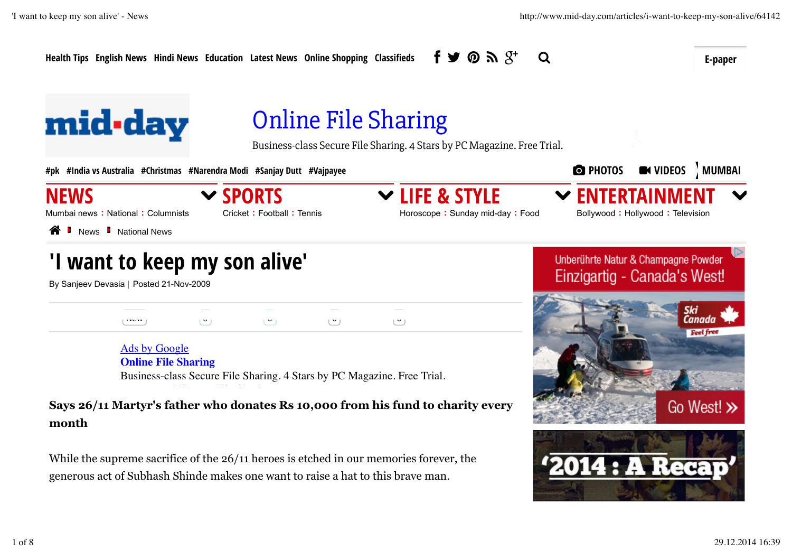$\Omega$ 

Health Tips English News Hindi News Education Latest News Online Shopping Classifieds  $\mathbf{f} \blacktriangleright \mathbf{G} \mathbf{N} \mathbf{S}^+ \mathbf{Q}$ 

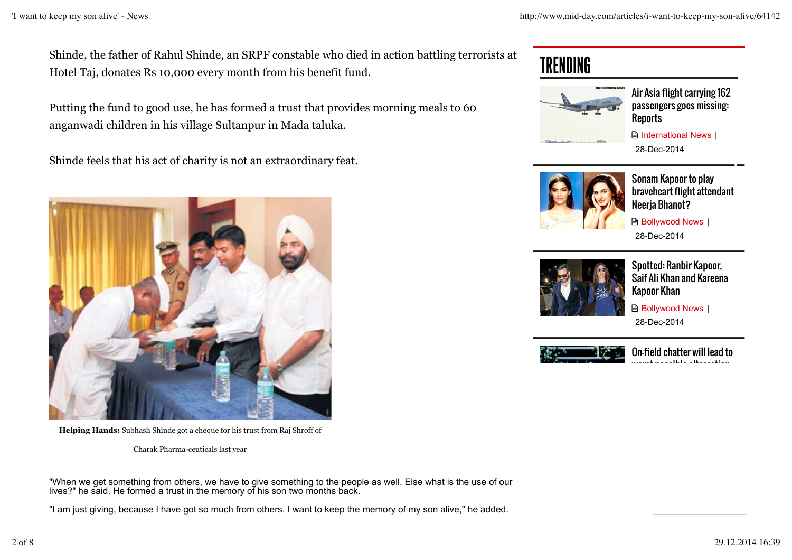Shinde, the father of Rahul Shinde, an SRPF constable who died in action battling terrorists at Hotel Taj, donates Rs 10,000 every month from his benefit fund.

Putting the fund to good use, he has formed a trust that provides morning meals to 60 anganwadi children in his village Sultanpur in Mada taluka.

Shinde feels that his act of charity is not an extraordinary feat.



**Helping Hands:** Subhash Shinde got a cheque for his trust from Raj Shroff of

Charak Pharma-ceuticals last year

"When we get something from others, we have to give something to the people as well. Else what is the use of our lives?" he said. He formed a trust in the memory of his son two months back.

"I am just giving, because I have got so much from others. I want to keep the memory of my son alive," he added.

## TRENDING



Air Asia flight carrying 162 passengers goes missing: Reports



28-Dec-2014



Sonam Kapoor to play braveheart flight attendant Neerja Bhanot?

**Bollywood News** | 28-Dec-2014



Spotted: Ranbir Kapoor, Saif Ali Khan and Kareena Kapoor Khan

**B** Bollywood News | 28-Dec-2014



On-field chatter will lead to worst possible altercation:<br>.